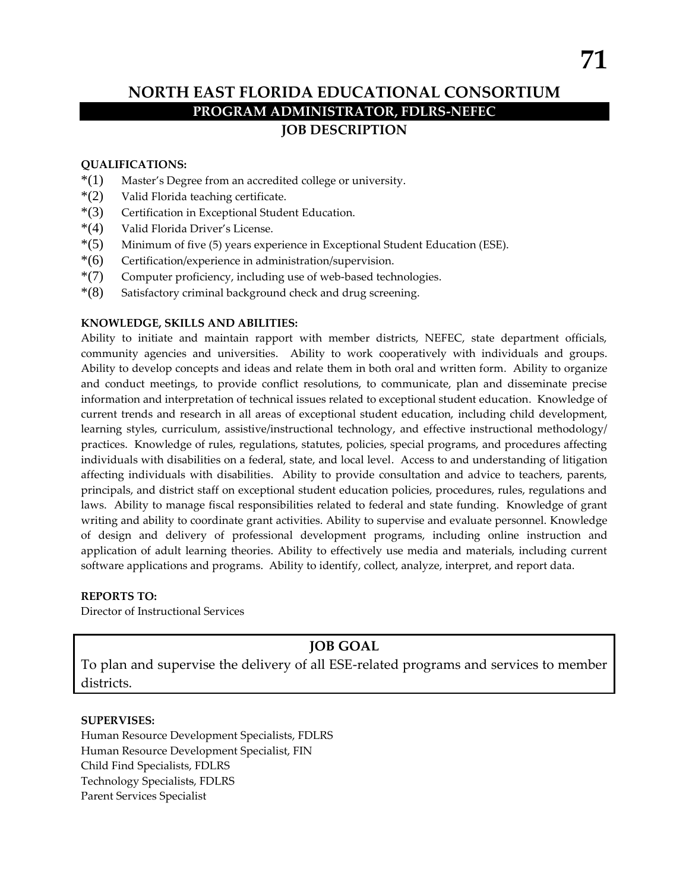# **NORTH EAST FLORIDA EDUCATIONAL CONSORTIUM PROGRAM ADMINISTRATOR, FDLRS-NEFEC JOB DESCRIPTION**

#### **QUALIFICATIONS:**

- \*(1) Master's Degree from an accredited college or university.
- $*(2)$  Valid Florida teaching certificate.
- \*(3) Certification in Exceptional Student Education.
- \*(4) Valid Florida Driver's License.
- \*(5) Minimum of five (5) years experience in Exceptional Student Education (ESE).
- \*(6) Certification/experience in administration/supervision.
- \*(7) Computer proficiency, including use of web-based technologies.
- \*(8) Satisfactory criminal background check and drug screening.

#### **KNOWLEDGE, SKILLS AND ABILITIES:**

Ability to initiate and maintain rapport with member districts, NEFEC, state department officials, community agencies and universities. Ability to work cooperatively with individuals and groups. Ability to develop concepts and ideas and relate them in both oral and written form. Ability to organize and conduct meetings, to provide conflict resolutions, to communicate, plan and disseminate precise information and interpretation of technical issues related to exceptional student education. Knowledge of current trends and research in all areas of exceptional student education, including child development, learning styles, curriculum, assistive/instructional technology, and effective instructional methodology/ practices. Knowledge of rules, regulations, statutes, policies, special programs, and procedures affecting individuals with disabilities on a federal, state, and local level. Access to and understanding of litigation affecting individuals with disabilities. Ability to provide consultation and advice to teachers, parents, principals, and district staff on exceptional student education policies, procedures, rules, regulations and laws. Ability to manage fiscal responsibilities related to federal and state funding. Knowledge of grant writing and ability to coordinate grant activities. Ability to supervise and evaluate personnel. Knowledge of design and delivery of professional development programs, including online instruction and application of adult learning theories. Ability to effectively use media and materials, including current software applications and programs. Ability to identify, collect, analyze, interpret, and report data.

#### **REPORTS TO:**

Director of Instructional Services

# **JOB GOAL**

To plan and supervise the delivery of all ESE-related programs and services to member districts.

#### **SUPERVISES:**

Human Resource Development Specialists, FDLRS Human Resource Development Specialist, FIN Child Find Specialists, FDLRS Technology Specialists, FDLRS Parent Services Specialist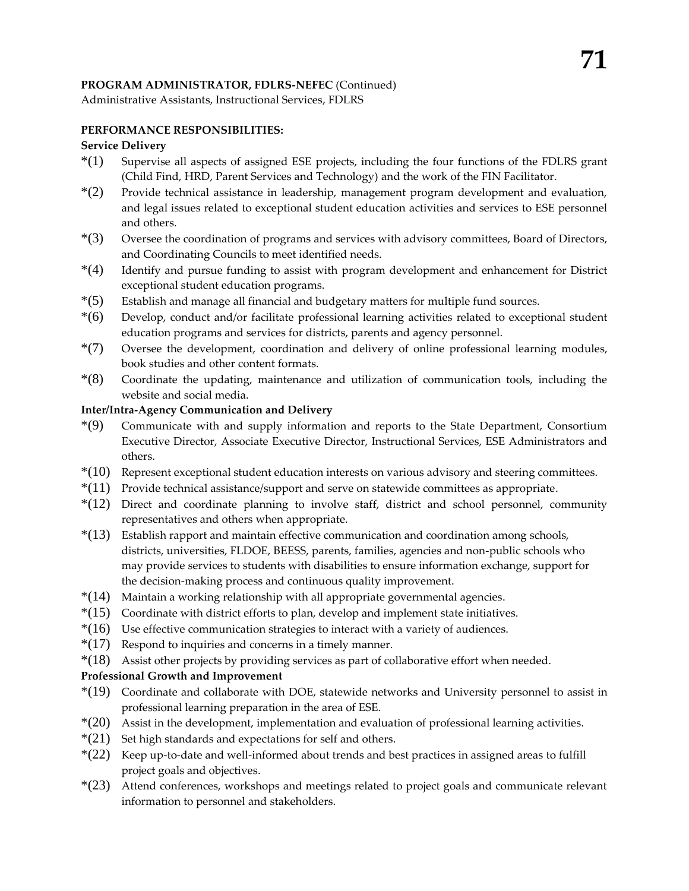# **PROGRAM ADMINISTRATOR, FDLRS-NEFEC** (Continued)

Administrative Assistants, Instructional Services, FDLRS

# **PERFORMANCE RESPONSIBILITIES:**

# **Service Delivery**

- \*(1) Supervise all aspects of assigned ESE projects, including the four functions of the FDLRS grant (Child Find, HRD, Parent Services and Technology) and the work of the FIN Facilitator.
- $*(2)$  Provide technical assistance in leadership, management program development and evaluation, and legal issues related to exceptional student education activities and services to ESE personnel and others.
- \*(3) Oversee the coordination of programs and services with advisory committees, Board of Directors, and Coordinating Councils to meet identified needs.
- \*(4) Identify and pursue funding to assist with program development and enhancement for District exceptional student education programs.
- \*(5) Establish and manage all financial and budgetary matters for multiple fund sources.
- \*(6) Develop, conduct and/or facilitate professional learning activities related to exceptional student education programs and services for districts, parents and agency personnel.
- \*(7) Oversee the development, coordination and delivery of online professional learning modules, book studies and other content formats.
- \*(8) Coordinate the updating, maintenance and utilization of communication tools, including the website and social media.

## **Inter/Intra-Agency Communication and Delivery**

- \*(9) Communicate with and supply information and reports to the State Department, Consortium Executive Director, Associate Executive Director, Instructional Services, ESE Administrators and others.
- \*(10) Represent exceptional student education interests on various advisory and steering committees.
- $*(11)$  Provide technical assistance/support and serve on statewide committees as appropriate.
- $*(12)$  Direct and coordinate planning to involve staff, district and school personnel, community representatives and others when appropriate.
- \*(13) Establish rapport and maintain effective communication and coordination among schools, districts, universities, FLDOE, BEESS, parents, families, agencies and non-public schools who may provide services to students with disabilities to ensure information exchange, support for the decision-making process and continuous quality improvement.
- \*(14) Maintain a working relationship with all appropriate governmental agencies.
- $*(15)$  Coordinate with district efforts to plan, develop and implement state initiatives.
- $*(16)$  Use effective communication strategies to interact with a variety of audiences.
- $*(17)$  Respond to inquiries and concerns in a timely manner.
- \*(18) Assist other projects by providing services as part of collaborative effort when needed.

## **Professional Growth and Improvement**

- \*(19) Coordinate and collaborate with DOE, statewide networks and University personnel to assist in professional learning preparation in the area of ESE.
- \*(20) Assist in the development, implementation and evaluation of professional learning activities.
- $*(21)$  Set high standards and expectations for self and others.
- $*(22)$  Keep up-to-date and well-informed about trends and best practices in assigned areas to fulfill project goals and objectives.
- \*(23) Attend conferences, workshops and meetings related to project goals and communicate relevant information to personnel and stakeholders.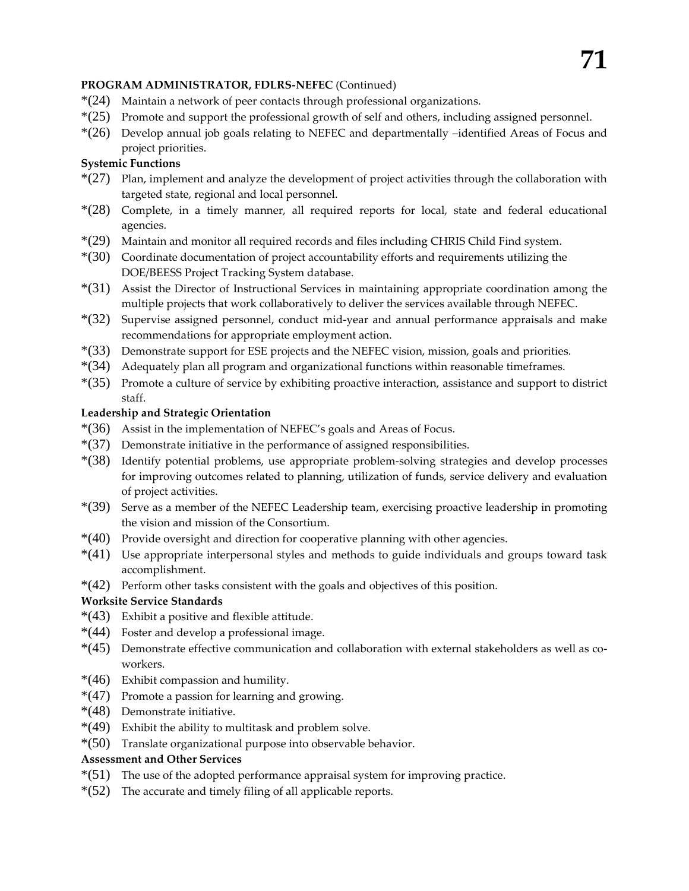# **PROGRAM ADMINISTRATOR, FDLRS-NEFEC** (Continued)

- \*(24) Maintain a network of peer contacts through professional organizations.
- \*(25) Promote and support the professional growth of self and others, including assigned personnel.
- \*(26) Develop annual job goals relating to NEFEC and departmentally –identified Areas of Focus and project priorities.

# **Systemic Functions**

- $*(27)$  Plan, implement and analyze the development of project activities through the collaboration with targeted state, regional and local personnel.
- \*(28) Complete, in a timely manner, all required reports for local, state and federal educational agencies.
- \*(29) Maintain and monitor all required records and files including CHRIS Child Find system.
- \*(30) Coordinate documentation of project accountability efforts and requirements utilizing the DOE/BEESS Project Tracking System database.
- \*(31) Assist the Director of Instructional Services in maintaining appropriate coordination among the multiple projects that work collaboratively to deliver the services available through NEFEC.
- \*(32) Supervise assigned personnel, conduct mid-year and annual performance appraisals and make recommendations for appropriate employment action.
- \*(33) Demonstrate support for ESE projects and the NEFEC vision, mission, goals and priorities.
- \*(34) Adequately plan all program and organizational functions within reasonable timeframes.
- \*(35) Promote a culture of service by exhibiting proactive interaction, assistance and support to district staff.

## **Leadership and Strategic Orientation**

- \*(36) Assist in the implementation of NEFEC's goals and Areas of Focus.
- $*(37)$  Demonstrate initiative in the performance of assigned responsibilities.
- \*(38) Identify potential problems, use appropriate problem-solving strategies and develop processes for improving outcomes related to planning, utilization of funds, service delivery and evaluation of project activities.
- \*(39) Serve as a member of the NEFEC Leadership team, exercising proactive leadership in promoting the vision and mission of the Consortium.
- \*(40) Provide oversight and direction for cooperative planning with other agencies.
- \*(41) Use appropriate interpersonal styles and methods to guide individuals and groups toward task accomplishment.
- \*(42) Perform other tasks consistent with the goals and objectives of this position.

# **Worksite Service Standards**

- \*(43) Exhibit a positive and flexible attitude.
- \*(44) Foster and develop a professional image.
- \*(45) Demonstrate effective communication and collaboration with external stakeholders as well as coworkers.
- \*(46) Exhibit compassion and humility.
- \*(47) Promote a passion for learning and growing.
- \*(48) Demonstrate initiative.
- \*(49) Exhibit the ability to multitask and problem solve.
- $*(50)$  Translate organizational purpose into observable behavior.

## **Assessment and Other Services**

- \*(51) The use of the adopted performance appraisal system for improving practice.
- $*(52)$  The accurate and timely filing of all applicable reports.